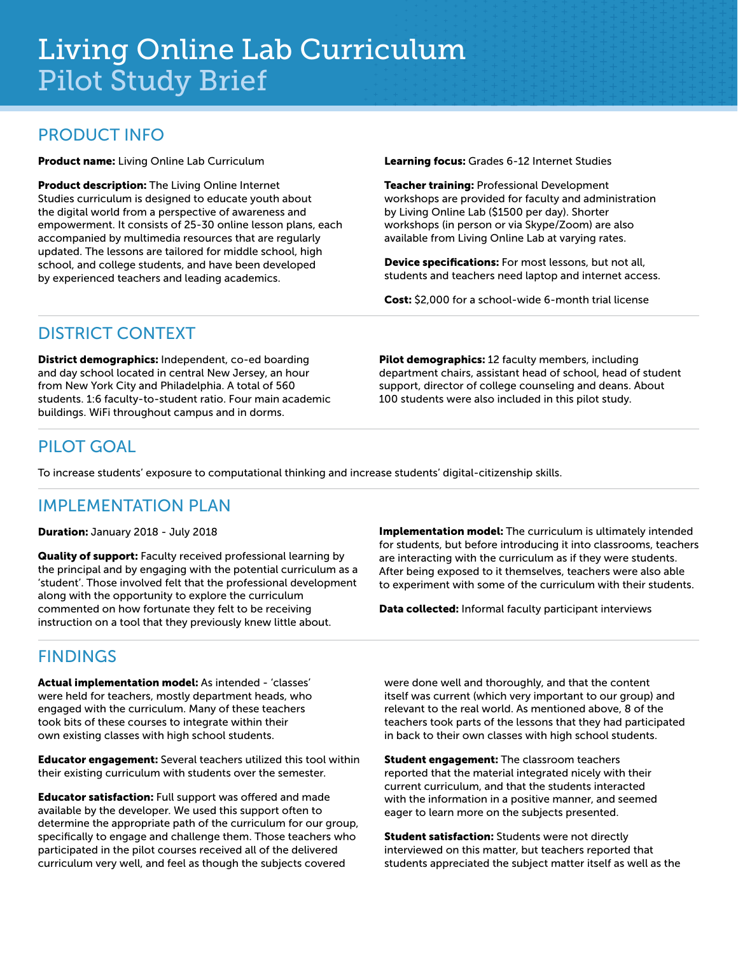#### PRODUCT INFO

Product name: Living Online Lab Curriculum

Product description: The Living Online Internet Studies curriculum is designed to educate youth about the digital world from a perspective of awareness and empowerment. It consists of 25-30 online lesson plans, each accompanied by multimedia resources that are regularly updated. The lessons are tailored for middle school, high school, and college students, and have been developed by experienced teachers and leading academics.

Learning focus: Grades 6-12 Internet Studies

Teacher training: Professional Development workshops are provided for faculty and administration by Living Online Lab (\$1500 per day). Shorter workshops (in person or via Skype/Zoom) are also available from Living Online Lab at varying rates.

Device specifications: For most lessons, but not all, students and teachers need laptop and internet access.

Cost: \$2,000 for a school-wide 6-month trial license

# DISTRICT CONTEXT

District demographics: Independent, co-ed boarding and day school located in central New Jersey, an hour from New York City and Philadelphia. A total of 560 students. 1:6 faculty-to-student ratio. Four main academic buildings. WiFi throughout campus and in dorms.

Pilot demographics: 12 faculty members, including department chairs, assistant head of school, head of student support, director of college counseling and deans. About 100 students were also included in this pilot study.

### PILOT GOAL

To increase students' exposure to computational thinking and increase students' digital-citizenship skills.

### IMPI FMFNTATION PLAN

Duration: January 2018 - July 2018

Quality of support: Faculty received professional learning by the principal and by engaging with the potential curriculum as a 'student'. Those involved felt that the professional development along with the opportunity to explore the curriculum commented on how fortunate they felt to be receiving instruction on a tool that they previously knew little about.

# FINDINGS

Actual implementation model: As intended - 'classes' were held for teachers, mostly department heads, who engaged with the curriculum. Many of these teachers took bits of these courses to integrate within their own existing classes with high school students.

Educator engagement: Several teachers utilized this tool within their existing curriculum with students over the semester.

Educator satisfaction: Full support was offered and made available by the developer. We used this support often to determine the appropriate path of the curriculum for our group, specifically to engage and challenge them. Those teachers who participated in the pilot courses received all of the delivered curriculum very well, and feel as though the subjects covered

Implementation model: The curriculum is ultimately intended for students, but before introducing it into classrooms, teachers are interacting with the curriculum as if they were students. After being exposed to it themselves, teachers were also able to experiment with some of the curriculum with their students.

Data collected: Informal faculty participant interviews

were done well and thoroughly, and that the content itself was current (which very important to our group) and relevant to the real world. As mentioned above, 8 of the teachers took parts of the lessons that they had participated in back to their own classes with high school students.

**Student engagement:** The classroom teachers reported that the material integrated nicely with their current curriculum, and that the students interacted with the information in a positive manner, and seemed eager to learn more on the subjects presented.

Student satisfaction: Students were not directly interviewed on this matter, but teachers reported that students appreciated the subject matter itself as well as the